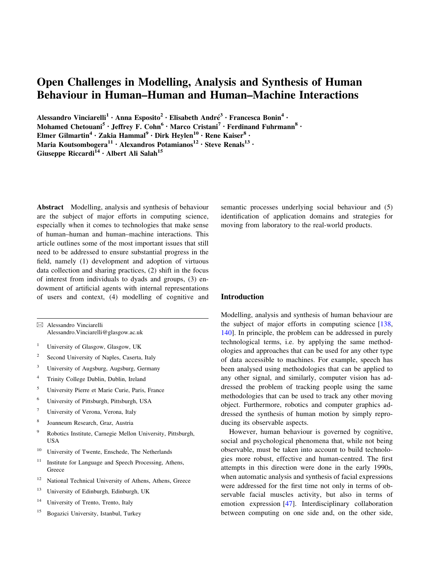# Open Challenges in Modelling, Analysis and Synthesis of Human Behaviour in Human–Human and Human–Machine Interactions

Alessandro Vinciarelli<sup>1</sup> · Anna Esposito<sup>2</sup> · Elisabeth André<sup>3</sup> · Francesca Bonin<sup>4</sup> ·

Mohamed Chetouani<sup>5</sup> • Jeffrey F. Cohn<sup>6</sup> • Marco Cristani<sup>7</sup> • Ferdinand Fuhrmann<sup>8</sup> •

Elmer Gilmartin<sup>4</sup> · Zakia Hammal<sup>9</sup> · Dirk Heylen<sup>10</sup> · Rene Kaiser<sup>8</sup> ·

Maria Koutsombogera $^{11}$  · Alexandros Potamianos $^{12}$  · Steve Renals $^{13}$  ·

Giuseppe Riccardi<sup>14</sup> · Albert Ali Salah<sup>15</sup>

Abstract Modelling, analysis and synthesis of behaviour are the subject of major efforts in computing science, especially when it comes to technologies that make sense of human–human and human–machine interactions. This article outlines some of the most important issues that still need to be addressed to ensure substantial progress in the field, namely (1) development and adoption of virtuous data collection and sharing practices, (2) shift in the focus of interest from individuals to dyads and groups, (3) endowment of artificial agents with internal representations of users and context, (4) modelling of cognitive and

 $\boxtimes$  Alessandro Vinciarelli Alessandro.Vinciarelli@glasgow.ac.uk

- <sup>1</sup> University of Glasgow, Glasgow, UK
- 2 Second University of Naples, Caserta, Italy
- <sup>3</sup> University of Augsburg, Augsburg, Germany
- 4 Trinity College Dublin, Dublin, Ireland
- <sup>5</sup> University Pierre et Marie Curie, Paris, France
- <sup>6</sup> University of Pittsburgh, Pittsburgh, USA
- <sup>7</sup> University of Verona, Verona, Italy
- 8 Joanneum Research, Graz, Austria
- <sup>9</sup> Robotics Institute, Carnegie Mellon University, Pittsburgh, USA
- <sup>10</sup> University of Twente, Enschede, The Netherlands
- 11 Institute for Language and Speech Processing, Athens, **Greece**
- <sup>12</sup> National Technical University of Athens, Athens, Greece
- <sup>13</sup> University of Edinburgh, Edinburgh, UK
- <sup>14</sup> University of Trento, Trento, Italy
- <sup>15</sup> Bogazici University, Istanbul, Turkey

semantic processes underlying social behaviour and (5) identification of application domains and strategies for moving from laboratory to the real-world products.

#### Introduction

Modelling, analysis and synthesis of human behaviour are the subject of major efforts in computing science [[138,](#page-16-0) [140](#page-16-0)]. In principle, the problem can be addressed in purely technological terms, i.e. by applying the same methodologies and approaches that can be used for any other type of data accessible to machines. For example, speech has been analysed using methodologies that can be applied to any other signal, and similarly, computer vision has addressed the problem of tracking people using the same methodologies that can be used to track any other moving object. Furthermore, robotics and computer graphics addressed the synthesis of human motion by simply reproducing its observable aspects.

However, human behaviour is governed by cognitive, social and psychological phenomena that, while not being observable, must be taken into account to build technologies more robust, effective and human-centred. The first attempts in this direction were done in the early 1990s, when automatic analysis and synthesis of facial expressions were addressed for the first time not only in terms of observable facial muscles activity, but also in terms of emotion expression [\[47](#page-14-0)]. Interdisciplinary collaboration between computing on one side and, on the other side,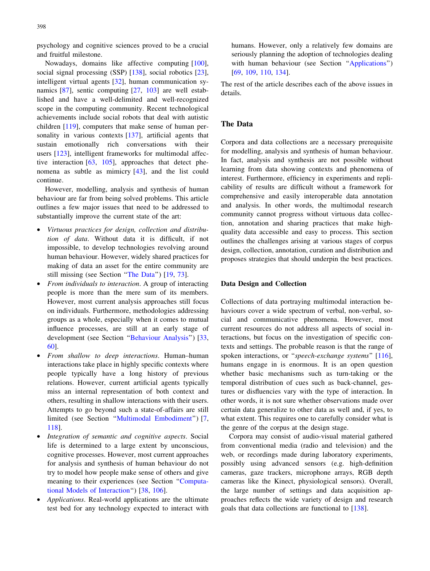<span id="page-1-0"></span>psychology and cognitive sciences proved to be a crucial and fruitful milestone.

Nowadays, domains like affective computing [\[100](#page-15-0)], social signal processing (SSP) [\[138\]](#page-16-0), social robotics [\[23](#page-13-0)], intelligent virtual agents [[32\]](#page-14-0), human communication synamics [\[87\]](#page-15-0), sentic computing [[27,](#page-14-0) [103](#page-15-0)] are well established and have a well-delimited and well-recognized scope in the computing community. Recent technological achievements include social robots that deal with autistic children [\[119](#page-16-0)], computers that make sense of human per-sonality in various contexts [\[137](#page-16-0)], artificial agents that sustain emotionally rich conversations with their users [\[123](#page-16-0)], intelligent frameworks for multimodal affective interaction  $[63, 105]$  $[63, 105]$  $[63, 105]$ , approaches that detect phenomena as subtle as mimicry [[43\]](#page-14-0), and the list could continue.

However, modelling, analysis and synthesis of human behaviour are far from being solved problems. This article outlines a few major issues that need to be addressed to substantially improve the current state of the art:

- Virtuous practices for design, collection and distribution of data. Without data it is difficult, if not impossible, to develop technologies revolving around human behaviour. However, widely shared practices for making of data an asset for the entire community are still missing (see Section "The Data") [[19,](#page-13-0) [73\]](#page-15-0).
- From individuals to interaction. A group of interacting people is more than the mere sum of its members. However, most current analysis approaches still focus on individuals. Furthermore, methodologies addressing groups as a whole, especially when it comes to mutual influence processes, are still at an early stage of development (see Section "[Behaviour](#page-3-0) Analysis") [[33,](#page-14-0) [60\]](#page-14-0).
- From shallow to deep interactions. Human–human interactions take place in highly specific contexts where people typically have a long history of previous relations. However, current artificial agents typically miss an internal representation of both context and others, resulting in shallow interactions with their users. Attempts to go beyond such a state-of-affairs are still limited (see Section ''Multimodal [Embodiment](#page-5-0)'') [[7,](#page-13-0) [118\]](#page-16-0).
- Integration of semantic and cognitive aspects. Social life is determined to a large extent by unconscious, cognitive processes. However, most current approaches for analysis and synthesis of human behaviour do not try to model how people make sense of others and give meaning to their experiences (see Section '['Computa](#page-7-0)tional Models of [Interaction](#page-7-0)'') [[38,](#page-14-0) [106](#page-15-0)].
- Applications. Real-world applications are the ultimate test bed for any technology expected to interact with

humans. However, only a relatively few domains are seriously planning the adoption of technologies dealing with human behaviour (see Section "Applications") [\[69](#page-15-0), [109,](#page-16-0) [110,](#page-16-0) [134](#page-16-0)].

The rest of the article describes each of the above issues in details.

# The Data

Corpora and data collections are a necessary prerequisite for modelling, analysis and synthesis of human behaviour. In fact, analysis and synthesis are not possible without learning from data showing contexts and phenomena of interest. Furthermore, efficiency in experiments and replicability of results are difficult without a framework for comprehensive and easily interoperable data annotation and analysis. In other words, the multimodal research community cannot progress without virtuous data collection, annotation and sharing practices that make highquality data accessible and easy to process. This section outlines the challenges arising at various stages of corpus design, collection, annotation, curation and distribution and proposes strategies that should underpin the best practices.

#### Data Design and Collection

Collections of data portraying multimodal interaction behaviours cover a wide spectrum of verbal, non-verbal, social and communicative phenomena. However, most current resources do not address all aspects of social interactions, but focus on the investigation of specific contexts and settings. The probable reason is that the range of spoken interactions, or "*speech-exchange systems*" [\[116](#page-16-0)], humans engage in is enormous. It is an open question whether basic mechanisms such as turn-taking or the temporal distribution of cues such as back-channel, gestures or disfluencies vary with the type of interaction. In other words, it is not sure whether observations made over certain data generalize to other data as well and, if yes, to what extent. This requires one to carefully consider what is the genre of the corpus at the design stage.

Corpora may consist of audio-visual material gathered from conventional media (radio and television) and the web, or recordings made during laboratory experiments, possibly using advanced sensors (e.g. high-definition cameras, gaze trackers, microphone arrays, RGB depth cameras like the Kinect, physiological sensors). Overall, the large number of settings and data acquisition approaches reflects the wide variety of design and research goals that data collections are functional to [[138\]](#page-16-0).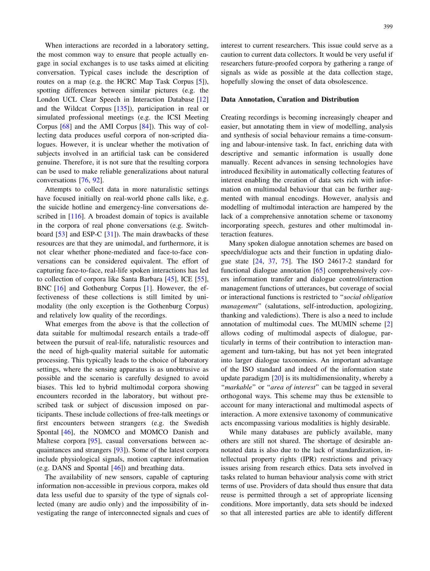When interactions are recorded in a laboratory setting. the most common way to ensure that people actually engage in social exchanges is to use tasks aimed at eliciting conversation. Typical cases include the description of routes on a map (e.g. the HCRC Map Task Corpus [[5](#page-13-0)]), spotting differences between similar pictures (e.g. the London UCL Clear Speech in Interaction Database [[12\]](#page-13-0) and the Wildcat Corpus [\[135](#page-16-0)]), participation in real or simulated professional meetings (e.g. the ICSI Meeting Corpus [\[68](#page-15-0)] and the AMI Corpus [\[84](#page-15-0)]). This way of collecting data produces useful corpora of non-scripted dialogues. However, it is unclear whether the motivation of subjects involved in an artificial task can be considered genuine. Therefore, it is not sure that the resulting corpora can be used to make reliable generalizations about natural conversations [[76,](#page-15-0) [92](#page-15-0)].

Attempts to collect data in more naturalistic settings have focused initially on real-world phone calls like, e.g. the suicide hotline and emergency-line conversations de-scribed in [[116\]](#page-16-0). A broadest domain of topics is available in the corpora of real phone conversations (e.g. Switchboard [\[53](#page-14-0)] and ESP-C [[31\]](#page-14-0)). The main drawbacks of these resources are that they are unimodal, and furthermore, it is not clear whether phone-mediated and face-to-face conversations can be considered equivalent. The effort of capturing face-to-face, real-life spoken interactions has led to collection of corpora like Santa Barbara [[45\]](#page-14-0), ICE [\[55](#page-14-0)], BNC [\[16](#page-13-0)] and Gothenburg Corpus [\[1](#page-13-0)]. However, the effectiveness of these collections is still limited by unimodality (the only exception is the Gothenburg Corpus) and relatively low quality of the recordings.

What emerges from the above is that the collection of data suitable for multimodal research entails a trade-off between the pursuit of real-life, naturalistic resources and the need of high-quality material suitable for automatic processing. This typically leads to the choice of laboratory settings, where the sensing apparatus is as unobtrusive as possible and the scenario is carefully designed to avoid biases. This led to hybrid multimodal corpora showing encounters recorded in the laboratory, but without prescribed task or subject of discussion imposed on participants. These include collections of free-talk meetings or first encounters between strangers (e.g. the Swedish Spontal [\[46](#page-14-0)], the NOMCO and MOMCO Danish and Maltese corpora [\[95](#page-15-0)], casual conversations between acquaintances and strangers [\[93\]](#page-15-0)). Some of the latest corpora include physiological signals, motion capture information (e.g. DANS and Spontal [\[46](#page-14-0)]) and breathing data.

The availability of new sensors, capable of capturing information non-accessible in previous corpora, makes old data less useful due to sparsity of the type of signals collected (many are audio only) and the impossibility of investigating the range of interconnected signals and cues of interest to current researchers. This issue could serve as a caution to current data collectors. It would be very useful if researchers future-proofed corpora by gathering a range of signals as wide as possible at the data collection stage, hopefully slowing the onset of data obsolescence.

#### Data Annotation, Curation and Distribution

Creating recordings is becoming increasingly cheaper and easier, but annotating them in view of modelling, analysis and synthesis of social behaviour remains a time-consuming and labour-intensive task. In fact, enriching data with descriptive and semantic information is usually done manually. Recent advances in sensing technologies have introduced flexibility in automatically collecting features of interest enabling the creation of data sets rich with information on multimodal behaviour that can be further augmented with manual encodings. However, analysis and modelling of multimodal interaction are hampered by the lack of a comprehensive annotation scheme or taxonomy incorporating speech, gestures and other multimodal interaction features.

Many spoken dialogue annotation schemes are based on speech/dialogue acts and their function in updating dialogue state [[24,](#page-13-0) [37,](#page-14-0) [75\]](#page-15-0). The ISO 24617-2 standard for functional dialogue annotation [[65\]](#page-15-0) comprehensively covers information transfer and dialogue control/interaction management functions of utterances, but coverage of social or interactional functions is restricted to ''social obligation management" (salutations, self-introduction, apologizing, thanking and valedictions). There is also a need to include annotation of multimodal cues. The MUMIN scheme [[2\]](#page-13-0) allows coding of multimodal aspects of dialogue, particularly in terms of their contribution to interaction management and turn-taking, but has not yet been integrated into larger dialogue taxonomies. An important advantage of the ISO standard and indeed of the information state update paradigm [[20\]](#page-13-0) is its multidimensionality, whereby a "markable" or "area of interest" can be tagged in several orthogonal ways. This scheme may thus be extensible to account for many interactional and multimodal aspects of interaction. A more extensive taxonomy of communicative acts encompassing various modalities is highly desirable.

While many databases are publicly available, many others are still not shared. The shortage of desirable annotated data is also due to the lack of standardization, intellectual property rights (IPR) restrictions and privacy issues arising from research ethics. Data sets involved in tasks related to human behaviour analysis come with strict terms of use. Providers of data should thus ensure that data reuse is permitted through a set of appropriate licensing conditions. More importantly, data sets should be indexed so that all interested parties are able to identify different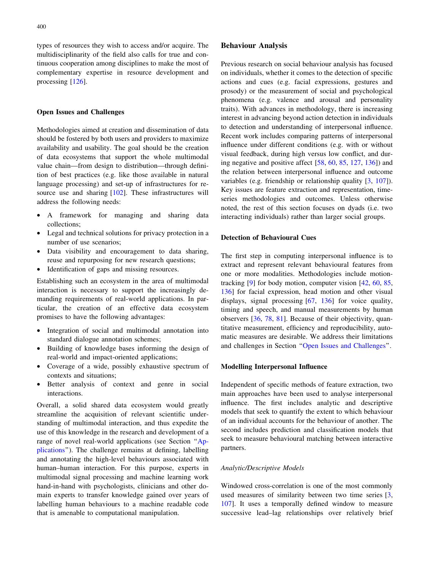<span id="page-3-0"></span>types of resources they wish to access and/or acquire. The multidisciplinarity of the field also calls for true and continuous cooperation among disciplines to make the most of complementary expertise in resource development and processing [\[126](#page-16-0)].

## Open Issues and Challenges

Methodologies aimed at creation and dissemination of data should be fostered by both users and providers to maximize availability and usability. The goal should be the creation of data ecosystems that support the whole multimodal value chain—from design to distribution—through definition of best practices (e.g. like those available in natural language processing) and set-up of infrastructures for resource use and sharing [[102\]](#page-15-0). These infrastructures will address the following needs:

- A framework for managing and sharing data collections;
- Legal and technical solutions for privacy protection in a number of use scenarios;
- Data visibility and encouragement to data sharing, reuse and repurposing for new research questions;
- Identification of gaps and missing resources.

Establishing such an ecosystem in the area of multimodal interaction is necessary to support the increasingly demanding requirements of real-world applications. In particular, the creation of an effective data ecosystem promises to have the following advantages:

- Integration of social and multimodal annotation into standard dialogue annotation schemes;
- Building of knowledge bases informing the design of real-world and impact-oriented applications;
- Coverage of a wide, possibly exhaustive spectrum of contexts and situations;
- Better analysis of context and genre in social interactions.

Overall, a solid shared data ecosystem would greatly streamline the acquisition of relevant scientific understanding of multimodal interaction, and thus expedite the use of this knowledge in the research and development of a range of novel real-world applications (see Section ''[Ap](#page-9-0)[plications](#page-9-0)''). The challenge remains at defining, labelling and annotating the high-level behaviours associated with human–human interaction. For this purpose, experts in multimodal signal processing and machine learning work hand-in-hand with psychologists, clinicians and other domain experts to transfer knowledge gained over years of labelling human behaviours to a machine readable code that is amenable to computational manipulation.

#### Behaviour Analysis

Previous research on social behaviour analysis has focused on individuals, whether it comes to the detection of specific actions and cues (e.g. facial expressions, gestures and prosody) or the measurement of social and psychological phenomena (e.g. valence and arousal and personality traits). With advances in methodology, there is increasing interest in advancing beyond action detection in individuals to detection and understanding of interpersonal influence. Recent work includes comparing patterns of interpersonal influence under different conditions (e.g. with or without visual feedback, during high versus low conflict, and during negative and positive affect [[58,](#page-14-0) [60,](#page-14-0) [85,](#page-15-0) [127](#page-16-0), [136](#page-16-0)]) and the relation between interpersonal influence and outcome variables (e.g. friendship or relationship quality [[3,](#page-13-0) [107](#page-16-0)]). Key issues are feature extraction and representation, timeseries methodologies and outcomes. Unless otherwise noted, the rest of this section focuses on dyads (i.e. two interacting individuals) rather than larger social groups.

#### Detection of Behavioural Cues

The first step in computing interpersonal influence is to extract and represent relevant behavioural features from one or more modalities. Methodologies include motiontracking [[9\]](#page-13-0) for body motion, computer vision [[42,](#page-14-0) [60](#page-14-0), [85,](#page-15-0) [136](#page-16-0)] for facial expression, head motion and other visual displays, signal processing [\[67](#page-15-0), [136\]](#page-16-0) for voice quality, timing and speech, and manual measurements by human observers [\[36](#page-14-0), [78,](#page-15-0) [81\]](#page-15-0). Because of their objectivity, quantitative measurement, efficiency and reproducibility, automatic measures are desirable. We address their limitations and challenges in Section ''Open Issues and [Challenges](#page-9-0)''.

#### Modelling Interpersonal Influence

Independent of specific methods of feature extraction, two main approaches have been used to analyse interpersonal influence. The first includes analytic and descriptive models that seek to quantify the extent to which behaviour of an individual accounts for the behaviour of another. The second includes prediction and classification models that seek to measure behavioural matching between interactive partners.

## Analytic/Descriptive Models

Windowed cross-correlation is one of the most commonly used measures of similarity between two time series [[3,](#page-13-0) [107](#page-16-0)]. It uses a temporally defined window to measure successive lead–lag relationships over relatively brief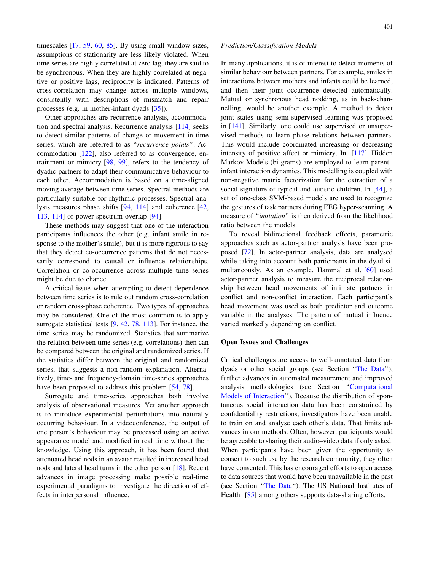timescales [\[17](#page-13-0), [59](#page-14-0), [60](#page-14-0), [85](#page-15-0)]. By using small window sizes, assumptions of stationarity are less likely violated. When time series are highly correlated at zero lag, they are said to be synchronous. When they are highly correlated at negative or positive lags, reciprocity is indicated. Patterns of cross-correlation may change across multiple windows, consistently with descriptions of mismatch and repair processes (e.g. in mother-infant dyads [\[35](#page-14-0)]).

Other approaches are recurrence analysis, accommodation and spectral analysis. Recurrence analysis [\[114](#page-16-0)] seeks to detect similar patterns of change or movement in time series, which are referred to as "recurrence points". Accommodation [[122\]](#page-16-0), also referred to as convergence, entrainment or mimicry [\[98](#page-15-0), [99](#page-15-0)], refers to the tendency of dyadic partners to adapt their communicative behaviour to each other. Accommodation is based on a time-aligned moving average between time series. Spectral methods are particularly suitable for rhythmic processes. Spectral analysis measures phase shifts [[94,](#page-15-0) [114\]](#page-16-0) and coherence [[42,](#page-14-0) [113,](#page-16-0) [114\]](#page-16-0) or power spectrum overlap [\[94](#page-15-0)].

These methods may suggest that one of the interaction participants influences the other (e.g. infant smile in response to the mother's smile), but it is more rigorous to say that they detect co-occurrence patterns that do not necessarily correspond to causal or influence relationships. Correlation or co-occurrence across multiple time series might be due to chance.

A critical issue when attempting to detect dependence between time series is to rule out random cross-correlation or random cross-phase coherence. Two types of approaches may be considered. One of the most common is to apply surrogate statistical tests [[9,](#page-13-0) [42,](#page-14-0) [78](#page-15-0), [113\]](#page-16-0). For instance, the time series may be randomized. Statistics that summarize the relation between time series (e.g. correlations) then can be compared between the original and randomized series. If the statistics differ between the original and randomized series, that suggests a non-random explanation. Alternatively, time- and frequency-domain time-series approaches have been proposed to address this problem [[54,](#page-14-0) [78](#page-15-0)].

Surrogate and time-series approaches both involve analysis of observational measures. Yet another approach is to introduce experimental perturbations into naturally occurring behaviour. In a videoconference, the output of one person's behaviour may be processed using an active appearance model and modified in real time without their knowledge. Using this approach, it has been found that attenuated head nods in an avatar resulted in increased head nods and lateral head turns in the other person [[18\]](#page-13-0). Recent advances in image processing make possible real-time experimental paradigms to investigate the direction of effects in interpersonal influence.

#### Prediction/Classification Models

In many applications, it is of interest to detect moments of similar behaviour between partners. For example, smiles in interactions between mothers and infants could be learned, and then their joint occurrence detected automatically. Mutual or synchronous head nodding, as in back-channelling, would be another example. A method to detect joint states using semi-supervised learning was proposed in [[141\]](#page-16-0). Similarly, one could use supervised or unsupervised methods to learn phase relations between partners. This would include coordinated increasing or decreasing intensity of positive affect or mimicry. In [\[117](#page-16-0)], Hidden Markov Models (bi-grams) are employed to learn parent– infant interaction dynamics. This modelling is coupled with non-negative matrix factorization for the extraction of a social signature of typical and autistic children. In [\[44](#page-14-0)], a set of one-class SVM-based models are used to recognize the gestures of task partners during EEG hyper-scanning. A measure of ''imitation'' is then derived from the likelihood ratio between the models.

To reveal bidirectional feedback effects, parametric approaches such as actor-partner analysis have been proposed [\[72\]](#page-15-0). In actor-partner analysis, data are analysed while taking into account both participants in the dyad simultaneously. As an example, Hammal et al. [[60\]](#page-14-0) used actor-partner analysis to measure the reciprocal relationship between head movements of intimate partners in conflict and non-conflict interaction. Each participant's head movement was used as both predictor and outcome variable in the analyses. The pattern of mutual influence varied markedly depending on conflict.

## Open Issues and Challenges

Critical challenges are access to well-annotated data from dyads or other social groups (see Section ''The [Data'](#page-1-0)'), further advances in automated measurement and improved analysis methodologies (see Section ''[Computational](#page-7-0) Models of [Interaction](#page-7-0)''). Because the distribution of spontaneous social interaction data has been constrained by confidentiality restrictions, investigators have been unable to train on and analyse each other's data. That limits advances in our methods. Often, however, participants would be agreeable to sharing their audio–video data if only asked. When participants have been given the opportunity to consent to such use by the research community, they often have consented. This has encouraged efforts to open access to data sources that would have been unavailable in the past (see Section ''The [Data'](#page-1-0)'). The US National Institutes of Health [\[85](#page-15-0)] among others supports data-sharing efforts.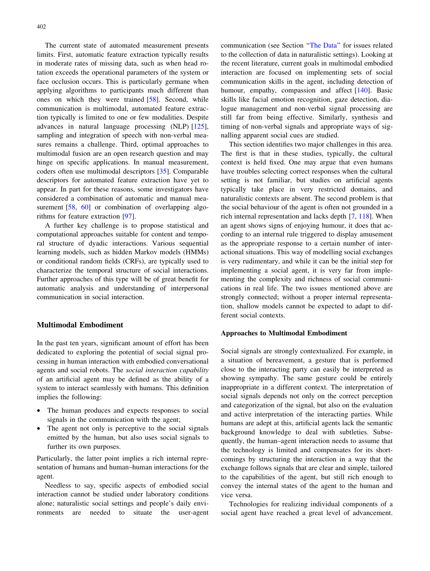<span id="page-5-0"></span>The current state of automated measurement presents limits. First, automatic feature extraction typically results in moderate rates of missing data, such as when head rotation exceeds the operational parameters of the system or face occlusion occurs. This is particularly germane when applying algorithms to participants much different than ones on which they were trained [[58\]](#page-14-0). Second, while communication is multimodal, automated feature extraction typically is limited to one or few modalities. Despite advances in natural language processing (NLP) [\[125](#page-16-0)], sampling and integration of speech with non-verbal measures remains a challenge. Third, optimal approaches to multimodal fusion are an open research question and may hinge on specific applications. In manual measurement, coders often use multimodal descriptors [\[35](#page-14-0)]. Comparable descriptors for automated feature extraction have yet to appear. In part for these reasons, some investigators have considered a combination of automatic and manual mea-surement [\[58](#page-14-0), [60](#page-14-0)] or combination of overlapping algorithms for feature extraction [[97\]](#page-15-0).

A further key challenge is to propose statistical and computational approaches suitable for content and temporal structure of dyadic interactions. Various sequential learning models, such as hidden Markov models (HMMs) or conditional random fields (CRFs), are typically used to characterize the temporal structure of social interactions. Further approaches of this type will be of great benefit for automatic analysis and understanding of interpersonal communication in social interaction.

# Multimodal Embodiment

In the past ten years, significant amount of effort has been dedicated to exploring the potential of social signal processing in human interaction with embodied conversational agents and social robots. The social interaction capability of an artificial agent may be defined as the ability of a system to interact seamlessly with humans. This definition implies the following:

- The human produces and expects responses to social signals in the communication with the agent;
- The agent not only is perceptive to the social signals emitted by the human, but also uses social signals to further its own purposes.

Particularly, the latter point implies a rich internal representation of humans and human–human interactions for the agent.

Needless to say, specific aspects of embodied social interaction cannot be studied under laboratory conditions alone; naturalistic social settings and people's daily environments are needed to situate the user-agent communication (see Section ''The [Data'](#page-1-0)' for issues related to the collection of data in naturalistic settings). Looking at the recent literature, current goals in multimodal embodied interaction are focused on implementing sets of social communication skills in the agent, including detection of humour, empathy, compassion and affect [[140](#page-16-0)]. Basic skills like facial emotion recognition, gaze detection, dialogue management and non-verbal signal processing are still far from being effective. Similarly, synthesis and timing of non-verbal signals and appropriate ways of signalling apparent social cues are studied.

This section identifies two major challenges in this area. The first is that in these studies, typically, the cultural context is held fixed. One may argue that even humans have troubles selecting correct responses when the cultural setting is not familiar, but studies on artificial agents typically take place in very restricted domains, and naturalistic contexts are absent. The second problem is that the social behaviour of the agent is often not grounded in a rich internal representation and lacks depth [[7,](#page-13-0) [118\]](#page-16-0). When an agent shows signs of enjoying humour, it does that according to an internal rule triggered to display amusement as the appropriate response to a certain number of interactional situations. This way of modelling social exchanges is very rudimentary, and while it can be the initial step for implementing a social agent, it is very far from implementing the complexity and richness of social communications in real life. The two issues mentioned above are strongly connected; without a proper internal representation, shallow models cannot be expected to adapt to different social contexts.

#### Approaches to Multimodal Embodiment

Social signals are strongly contextualized. For example, in a situation of bereavement, a gesture that is performed close to the interacting party can easily be interpreted as showing sympathy. The same gesture could be entirely inappropriate in a different context. The interpretation of social signals depends not only on the correct perception and categorization of the signal, but also on the evaluation and active interpretation of the interacting parties. While humans are adept at this, artificial agents lack the semantic background knowledge to deal with subtleties. Subsequently, the human–agent interaction needs to assume that the technology is limited and compensates for its shortcomings by structuring the interaction in a way that the exchange follows signals that are clear and simple, tailored to the capabilities of the agent, but still rich enough to convey the internal states of the agent to the human and vice versa.

Technologies for realizing individual components of a social agent have reached a great level of advancement.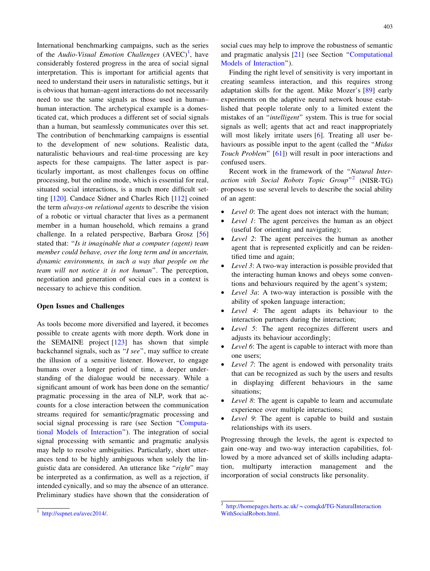International benchmarking campaigns, such as the series of the Audio-Visual Emotion Challenges  $(AVEC)^{1}$ , have considerably fostered progress in the area of social signal interpretation. This is important for artificial agents that need to understand their users in naturalistic settings, but it is obvious that human–agent interactions do not necessarily need to use the same signals as those used in human– human interaction. The archetypical example is a domesticated cat, which produces a different set of social signals than a human, but seamlessly communicates over this set. The contribution of benchmarking campaigns is essential to the development of new solutions. Realistic data, naturalistic behaviours and real-time processing are key aspects for these campaigns. The latter aspect is particularly important, as most challenges focus on offline processing, but the online mode, which is essential for real, situated social interactions, is a much more difficult setting [\[120](#page-16-0)]. Candace Sidner and Charles Rich [[112\]](#page-16-0) coined the term always-on relational agents to describe the vision of a robotic or virtual character that lives as a permanent member in a human household, which remains a grand challenge. In a related perspective, Barbara Grosz [[56\]](#page-14-0) stated that: ''Is it imaginable that a computer (agent) team member could behave, over the long term and in uncertain, dynamic environments, in such a way that people on the team will not notice it is not human''. The perception, negotiation and generation of social cues in a context is necessary to achieve this condition.

#### Open Issues and Challenges

As tools become more diversified and layered, it becomes possible to create agents with more depth. Work done in the SEMAINE project [[123\]](#page-16-0) has shown that simple backchannel signals, such as "I see", may suffice to create the illusion of a sensitive listener. However, to engage humans over a longer period of time, a deeper understanding of the dialogue would be necessary. While a significant amount of work has been done on the semantic/ pragmatic processing in the area of NLP, work that accounts for a close interaction between the communication streams required for semantic/pragmatic processing and social signal processing is rare (see Section '['Computa](#page-7-0)tional Models of [Interaction](#page-7-0)''). The integration of social signal processing with semantic and pragmatic analysis may help to resolve ambiguities. Particularly, short utterances tend to be highly ambiguous when solely the linguistic data are considered. An utterance like "right" may be interpreted as a confirmation, as well as a rejection, if intended cynically, and so may the absence of an utterance. Preliminary studies have shown that the consideration of social cues may help to improve the robustness of semantic and pragmatic analysis [[21\]](#page-13-0) (see Section ''[Computational](#page-7-0) Models of [Interaction'](#page-7-0)').

Finding the right level of sensitivity is very important in creating seamless interaction, and this requires strong adaptation skills for the agent. Mike Mozer's [\[89](#page-15-0)] early experiments on the adaptive neural network house established that people tolerate only to a limited extent the mistakes of an ''intelligent'' system. This is true for social signals as well; agents that act and react inappropriately will most likely irritate users [[6\]](#page-13-0). Treating all user behaviours as possible input to the agent (called the ''Midas Touch Problem'' [\[61](#page-14-0)]) will result in poor interactions and confused users.

Recent work in the framework of the ''Natural Interaction with Social Robots Topic Group"<sup>2</sup> (NISR-TG) proposes to use several levels to describe the social ability of an agent:

- Level 0: The agent does not interact with the human;
- Level 1: The agent perceives the human as an object (useful for orienting and navigating);
- Level 2: The agent perceives the human as another agent that is represented explicitly and can be reidentified time and again;
- Level 3: A two-way interaction is possible provided that the interacting human knows and obeys some conventions and behaviours required by the agent's system;
- Level 3a: A two-way interaction is possible with the ability of spoken language interaction;
- Level 4: The agent adapts its behaviour to the interaction partners during the interaction;
- *Level* 5: The agent recognizes different users and adjusts its behaviour accordingly;
- Level 6: The agent is capable to interact with more than one users;
- Level 7: The agent is endowed with personality traits that can be recognized as such by the users and results in displaying different behaviours in the same situations;
- Level 8: The agent is capable to learn and accumulate experience over multiple interactions;
- Level 9: The agent is capable to build and sustain relationships with its users.

Progressing through the levels, the agent is expected to gain one-way and two-way interaction capabilities, followed by a more advanced set of skills including adaptation, multiparty interaction management and the incorporation of social constructs like personality.

<sup>1</sup> <http://sspnet.eu/avec2014/>.

 $2$  http://homepages.herts.ac.uk/ $\sim$ [comqkd/TG-NaturalInteraction](http://homepages.herts.ac.uk/~comqkd/TG-NaturalInteractionWithSocialRobots.html) [WithSocialRobots.html](http://homepages.herts.ac.uk/~comqkd/TG-NaturalInteractionWithSocialRobots.html).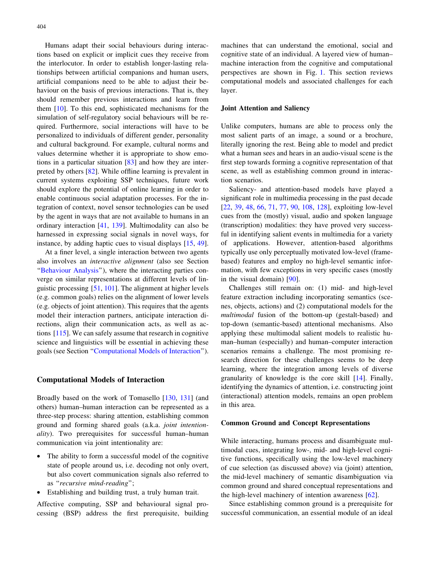<span id="page-7-0"></span>Humans adapt their social behaviours during interactions based on explicit or implicit cues they receive from the interlocutor. In order to establish longer-lasting relationships between artificial companions and human users, artificial companions need to be able to adjust their behaviour on the basis of previous interactions. That is, they should remember previous interactions and learn from them [\[10](#page-13-0)]. To this end, sophisticated mechanisms for the simulation of self-regulatory social behaviours will be required. Furthermore, social interactions will have to be personalized to individuals of different gender, personality and cultural background. For example, cultural norms and values determine whether it is appropriate to show emotions in a particular situation  $[83]$  $[83]$  and how they are interpreted by others [[82\]](#page-15-0). While offline learning is prevalent in current systems exploiting SSP techniques, future work should explore the potential of online learning in order to enable continuous social adaptation processes. For the integration of context, novel sensor technologies can be used by the agent in ways that are not available to humans in an ordinary interaction [\[41](#page-14-0), [139\]](#page-16-0). Multimodality can also be harnessed in expressing social signals in novel ways, for instance, by adding haptic cues to visual displays [[15,](#page-13-0) [49](#page-14-0)].

At a finer level, a single interaction between two agents also involves an interactive alignment (also see Section ''[Behaviour](#page-3-0) Analysis''), where the interacting parties converge on similar representations at different levels of linguistic processing [\[51](#page-14-0), [101](#page-15-0)]. The alignment at higher levels (e.g. common goals) relies on the alignment of lower levels (e.g. objects of joint attention). This requires that the agents model their interaction partners, anticipate interaction directions, align their communication acts, as well as actions [\[115](#page-16-0)]. We can safely assume that research in cognitive science and linguistics will be essential in achieving these goals (see Section ''Computational Models of Interaction'').

## Computational Models of Interaction

Broadly based on the work of Tomasello [\[130](#page-16-0), [131](#page-16-0)] (and others) human–human interaction can be represented as a three-step process: sharing attention, establishing common ground and forming shared goals (a.k.a. joint intentionality). Two prerequisites for successful human–human communication via joint intentionality are:

- The ability to form a successful model of the cognitive state of people around us, i.e. decoding not only overt, but also covert communication signals also referred to as ''recursive mind-reading'';
- Establishing and building trust, a truly human trait.

Affective computing, SSP and behavioural signal processing (BSP) address the first prerequisite, building machines that can understand the emotional, social and cognitive state of an individual. A layered view of human– machine interaction from the cognitive and computational perspectives are shown in Fig. [1.](#page-8-0) This section reviews computational models and associated challenges for each layer.

#### Joint Attention and Saliency

Unlike computers, humans are able to process only the most salient parts of an image, a sound or a brochure, literally ignoring the rest. Being able to model and predict what a human sees and hears in an audio-visual scene is the first step towards forming a cognitive representation of that scene, as well as establishing common ground in interaction scenarios.

Saliency- and attention-based models have played a significant role in multimedia processing in the past decade [\[22](#page-13-0), [39,](#page-14-0) [48,](#page-14-0) [66](#page-15-0), [71,](#page-15-0) [77](#page-15-0), [90,](#page-15-0) [108](#page-16-0), [128\]](#page-16-0), exploiting low-level cues from the (mostly) visual, audio and spoken language (transcription) modalities: they have proved very successful in identifying salient events in multimedia for a variety of applications. However, attention-based algorithms typically use only perceptually motivated low-level (framebased) features and employ no high-level semantic information, with few exceptions in very specific cases (mostly in the visual domain) [\[90](#page-15-0)].

Challenges still remain on: (1) mid- and high-level feature extraction including incorporating semantics (scenes, objects, actions) and (2) computational models for the multimodal fusion of the bottom-up (gestalt-based) and top-down (semantic-based) attentional mechanisms. Also applying these multimodal salient models to realistic human–human (especially) and human–computer interaction scenarios remains a challenge. The most promising research direction for these challenges seems to be deep learning, where the integration among levels of diverse granularity of knowledge is the core skill [[14\]](#page-13-0). Finally, identifying the dynamics of attention, i.e. constructing joint (interactional) attention models, remains an open problem in this area.

#### Common Ground and Concept Representations

While interacting, humans process and disambiguate multimodal cues, integrating low-, mid- and high-level cognitive functions, specifically using the low-level machinery of cue selection (as discussed above) via (joint) attention, the mid-level machinery of semantic disambiguation via common ground and shared conceptual representations and the high-level machinery of intention awareness [[62\]](#page-14-0).

Since establishing common ground is a prerequisite for successful communication, an essential module of an ideal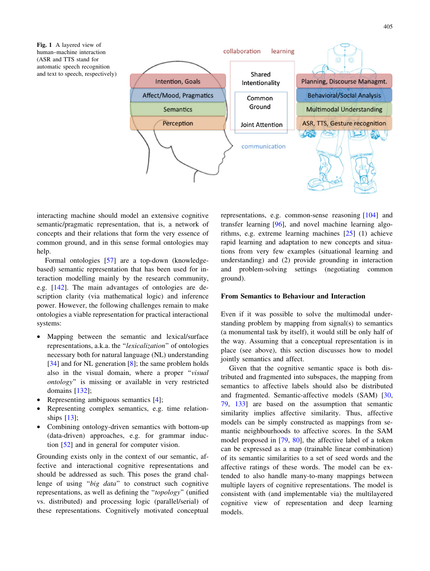<span id="page-8-0"></span>Fig. 1 A layered view of human–machine interaction (ASR and TTS stand for automatic speech recognition and text to speech, respectively)



interacting machine should model an extensive cognitive semantic/pragmatic representation, that is, a network of concepts and their relations that form the very essence of common ground, and in this sense formal ontologies may help.

Formal ontologies [[57\]](#page-14-0) are a top-down (knowledgebased) semantic representation that has been used for interaction modelling mainly by the research community, e.g. [\[142](#page-16-0)]. The main advantages of ontologies are description clarity (via mathematical logic) and inference power. However, the following challenges remain to make ontologies a viable representation for practical interactional systems:

- Mapping between the semantic and lexical/surface representations, a.k.a. the ''lexicalization'' of ontologies necessary both for natural language (NL) understanding [[34\]](#page-14-0) and for NL generation [[8\]](#page-13-0); the same problem holds also in the visual domain, where a proper "visual ontology'' is missing or available in very restricted domains [\[132](#page-16-0)];
- Representing ambiguous semantics [\[4](#page-13-0)];
- Representing complex semantics, e.g. time relationships [[13\]](#page-13-0);
- Combining ontology-driven semantics with bottom-up (data-driven) approaches, e.g. for grammar induction [[52\]](#page-14-0) and in general for computer vision.

Grounding exists only in the context of our semantic, affective and interactional cognitive representations and should be addressed as such. This poses the grand challenge of using "big data" to construct such cognitive representations, as well as defining the ''topology'' (unified vs. distributed) and processing logic (parallel/serial) of these representations. Cognitively motivated conceptual representations, e.g. common-sense reasoning [[104\]](#page-15-0) and transfer learning [[96\]](#page-15-0), and novel machine learning algorithms, e.g. extreme learning machines [\[25](#page-13-0)] (1) achieve rapid learning and adaptation to new concepts and situations from very few examples (situational learning and understanding) and (2) provide grounding in interaction and problem-solving settings (negotiating common ground).

## From Semantics to Behaviour and Interaction

Even if it was possible to solve the multimodal understanding problem by mapping from signal(s) to semantics (a monumental task by itself), it would still be only half of the way. Assuming that a conceptual representation is in place (see above), this section discusses how to model jointly semantics and affect.

Given that the cognitive semantic space is both distributed and fragmented into subspaces, the mapping from semantics to affective labels should also be distributed and fragmented. Semantic-affective models (SAM) [[30,](#page-14-0) [79](#page-15-0), [133](#page-16-0)] are based on the assumption that semantic similarity implies affective similarity. Thus, affective models can be simply constructed as mappings from semantic neighbourhoods to affective scores. In the SAM model proposed in [\[79](#page-15-0), [80](#page-15-0)], the affective label of a token can be expressed as a map (trainable linear combination) of its semantic similarities to a set of seed words and the affective ratings of these words. The model can be extended to also handle many-to-many mappings between multiple layers of cognitive representations. The model is consistent with (and implementable via) the multilayered cognitive view of representation and deep learning models.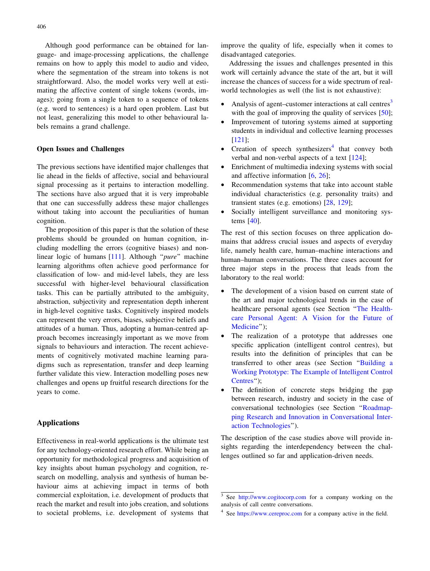<span id="page-9-0"></span>Although good performance can be obtained for language- and image-processing applications, the challenge remains on how to apply this model to audio and video, where the segmentation of the stream into tokens is not straightforward. Also, the model works very well at estimating the affective content of single tokens (words, images); going from a single token to a sequence of tokens (e.g. word to sentences) is a hard open problem. Last but not least, generalizing this model to other behavioural labels remains a grand challenge.

## Open Issues and Challenges

The previous sections have identified major challenges that lie ahead in the fields of affective, social and behavioural signal processing as it pertains to interaction modelling. The sections have also argued that it is very improbable that one can successfully address these major challenges without taking into account the peculiarities of human cognition.

The proposition of this paper is that the solution of these problems should be grounded on human cognition, including modelling the errors (cognitive biases) and non-linear logic of humans [[111\]](#page-16-0). Although "*pure*" machine learning algorithms often achieve good performance for classification of low- and mid-level labels, they are less successful with higher-level behavioural classification tasks. This can be partially attributed to the ambiguity, abstraction, subjectivity and representation depth inherent in high-level cognitive tasks. Cognitively inspired models can represent the very errors, biases, subjective beliefs and attitudes of a human. Thus, adopting a human-centred approach becomes increasingly important as we move from signals to behaviours and interaction. The recent achievements of cognitively motivated machine learning paradigms such as representation, transfer and deep learning further validate this view. Interaction modelling poses new challenges and opens up fruitful research directions for the years to come.

## Applications

Effectiveness in real-world applications is the ultimate test for any technology-oriented research effort. While being an opportunity for methodological progress and acquisition of key insights about human psychology and cognition, research on modelling, analysis and synthesis of human behaviour aims at achieving impact in terms of both commercial exploitation, i.e. development of products that reach the market and result into jobs creation, and solutions to societal problems, i.e. development of systems that improve the quality of life, especially when it comes to disadvantaged categories.

Addressing the issues and challenges presented in this work will certainly advance the state of the art, but it will increase the chances of success for a wide spectrum of realworld technologies as well (the list is not exhaustive):

- Analysis of agent–customer interactions at call centres<sup>3</sup> with the goal of improving the quality of services [\[50](#page-14-0)];
- Improvement of tutoring systems aimed at supporting students in individual and collective learning processes [\[121](#page-16-0)];
- Creation of speech synthesizers<sup>4</sup> that convey both verbal and non-verbal aspects of a text [[124\]](#page-16-0);
- Enrichment of multimedia indexing systems with social and affective information [[6,](#page-13-0) [26\]](#page-13-0);
- Recommendation systems that take into account stable individual characteristics (e.g. personality traits) and transient states (e.g. emotions) [[28,](#page-14-0) [129\]](#page-16-0);
- Socially intelligent surveillance and monitoring systems [\[40](#page-14-0)].

The rest of this section focuses on three application domains that address crucial issues and aspects of everyday life, namely health care, human–machine interactions and human–human conversations. The three cases account for three major steps in the process that leads from the laboratory to the real world:

- The development of a vision based on current state of the art and major technological trends in the case of healthcare personal agents (see Section ''The [Health](#page-10-0)care [Personal](#page-10-0) Agent: A Vision for the Future of [Medicine'](#page-10-0)');
- The realization of a prototype that addresses one specific application (intelligent control centres), but results into the definition of principles that can be transferred to other areas (see Section ''[Building](#page-10-0) a Working [Prototype:](#page-10-0) The Example of Intelligent Control [Centres](#page-10-0)'');
- The definition of concrete steps bridging the gap between research, industry and society in the case of conversational technologies (see Section ''[Roadmap](#page-11-0)ping Research and Innovation in [Conversational](#page-11-0) Interaction [Technologies'](#page-11-0)').

The description of the case studies above will provide insights regarding the interdependency between the challenges outlined so far and application-driven needs.

<sup>&</sup>lt;sup>3</sup> See <http://www.cogitocorp.com> for a company working on the analysis of call centre conversations.

<sup>4</sup> See <https://www.cereproc.com> for a company active in the field.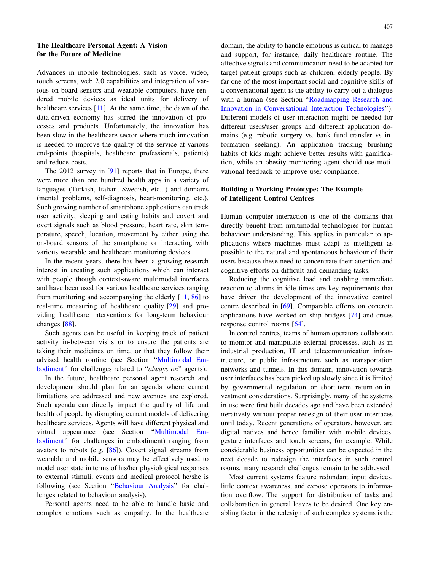# <span id="page-10-0"></span>The Healthcare Personal Agent: A Vision for the Future of Medicine

Advances in mobile technologies, such as voice, video, touch screens, web 2.0 capabilities and integration of various on-board sensors and wearable computers, have rendered mobile devices as ideal units for delivery of healthcare services [\[11](#page-13-0)]. At the same time, the dawn of the data-driven economy has stirred the innovation of processes and products. Unfortunately, the innovation has been slow in the healthcare sector where much innovation is needed to improve the quality of the service at various end-points (hospitals, healthcare professionals, patients) and reduce costs.

The 2012 survey in [[91\]](#page-15-0) reports that in Europe, there were more than one hundred health apps in a variety of languages (Turkish, Italian, Swedish, etc...) and domains (mental problems, self-diagnosis, heart-monitoring, etc.). Such growing number of smartphone applications can track user activity, sleeping and eating habits and covert and overt signals such as blood pressure, heart rate, skin temperature, speech, location, movement by either using the on-board sensors of the smartphone or interacting with various wearable and healthcare monitoring devices.

In the recent years, there has been a growing research interest in creating such applications which can interact with people though context-aware multimodal interfaces and have been used for various healthcare services ranging from monitoring and accompanying the elderly [[11,](#page-13-0) [86](#page-15-0)] to real-time measuring of healthcare quality [\[29](#page-14-0)] and providing healthcare interventions for long-term behaviour changes [[88\]](#page-15-0).

Such agents can be useful in keeping track of patient activity in-between visits or to ensure the patients are taking their medicines on time, or that they follow their advised health routine (see Section '['Multimodal](#page-5-0) Embodiment" for challenges related to "always on" agents).

In the future, healthcare personal agent research and development should plan for an agenda where current limitations are addressed and new avenues are explored. Such agenda can directly impact the quality of life and health of people by disrupting current models of delivering healthcare services. Agents will have different physical and virtual appearance (see Section '['Multimodal](#page-5-0) Em[bodiment'](#page-5-0)' for challenges in embodiment) ranging from avatars to robots (e.g. [\[86](#page-15-0)]). Covert signal streams from wearable and mobile sensors may be effectively used to model user state in terms of his/her physiological responses to external stimuli, events and medical protocol he/she is following (see Section "Behaviour Analysis" for challenges related to behaviour analysis).

Personal agents need to be able to handle basic and complex emotions such as empathy. In the healthcare domain, the ability to handle emotions is critical to manage and support, for instance, daily healthcare routine. The affective signals and communication need to be adapted for target patient groups such as children, elderly people. By far one of the most important social and cognitive skills of a conversational agent is the ability to carry out a dialogue with a human (see Section "Roadmapping Research and Innovation in [Conversational](#page-11-0) Interaction Technologies''). Different models of user interaction might be needed for different users/user groups and different application domains (e.g. robotic surgery vs. bank fund transfer vs information seeking). An application tracking brushing habits of kids might achieve better results with gamification, while an obesity monitoring agent should use motivational feedback to improve user compliance.

# Building a Working Prototype: The Example of Intelligent Control Centres

Human–computer interaction is one of the domains that directly benefit from multimodal technologies for human behaviour understanding. This applies in particular to applications where machines must adapt as intelligent as possible to the natural and spontaneous behaviour of their users because these need to concentrate their attention and cognitive efforts on difficult and demanding tasks.

Reducing the cognitive load and enabling immediate reaction to alarms in idle times are key requirements that have driven the development of the innovative control centre described in [\[69](#page-15-0)]. Comparable efforts on concrete applications have worked on ship bridges [[74\]](#page-15-0) and crises response control rooms [[64\]](#page-15-0).

In control centres, teams of human operators collaborate to monitor and manipulate external processes, such as in industrial production, IT and telecommunication infrastructure, or public infrastructure such as transportation networks and tunnels. In this domain, innovation towards user interfaces has been picked up slowly since it is limited by governmental regulation or short-term return-on-investment considerations. Surprisingly, many of the systems in use were first built decades ago and have been extended iteratively without proper redesign of their user interfaces until today. Recent generations of operators, however, are digital natives and hence familiar with mobile devices, gesture interfaces and touch screens, for example. While considerable business opportunities can be expected in the next decade to redesign the interfaces in such control rooms, many research challenges remain to be addressed.

Most current systems feature redundant input devices, little context awareness, and expose operators to information overflow. The support for distribution of tasks and collaboration in general leaves to be desired. One key enabling factor in the redesign of such complex systems is the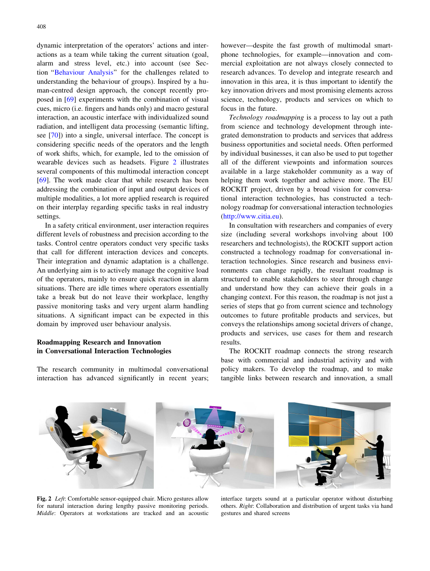<span id="page-11-0"></span>dynamic interpretation of the operators' actions and interactions as a team while taking the current situation (goal, alarm and stress level, etc.) into account (see Section '['Behaviour](#page-3-0) Analysis'' for the challenges related to understanding the behaviour of groups). Inspired by a human-centred design approach, the concept recently proposed in [\[69](#page-15-0)] experiments with the combination of visual cues, micro (i.e. fingers and hands only) and macro gestural interaction, an acoustic interface with individualized sound radiation, and intelligent data processing (semantic lifting, see [[70\]](#page-15-0)) into a single, universal interface. The concept is considering specific needs of the operators and the length of work shifts, which, for example, led to the omission of wearable devices such as headsets. Figure 2 illustrates several components of this multimodal interaction concept [\[69](#page-15-0)]. The work made clear that while research has been addressing the combination of input and output devices of multiple modalities, a lot more applied research is required on their interplay regarding specific tasks in real industry settings.

In a safety critical environment, user interaction requires different levels of robustness and precision according to the tasks. Control centre operators conduct very specific tasks that call for different interaction devices and concepts. Their integration and dynamic adaptation is a challenge. An underlying aim is to actively manage the cognitive load of the operators, mainly to ensure quick reaction in alarm situations. There are idle times where operators essentially take a break but do not leave their workplace, lengthy passive monitoring tasks and very urgent alarm handling situations. A significant impact can be expected in this domain by improved user behaviour analysis.

# Roadmapping Research and Innovation in Conversational Interaction Technologies

The research community in multimodal conversational interaction has advanced significantly in recent years; however—despite the fast growth of multimodal smartphone technologies, for example—innovation and commercial exploitation are not always closely connected to research advances. To develop and integrate research and innovation in this area, it is thus important to identify the key innovation drivers and most promising elements across science, technology, products and services on which to focus in the future.

Technology roadmapping is a process to lay out a path from science and technology development through integrated demonstration to products and services that address business opportunities and societal needs. Often performed by individual businesses, it can also be used to put together all of the different viewpoints and information sources available in a large stakeholder community as a way of helping them work together and achieve more. The EU ROCKIT project, driven by a broad vision for conversational interaction technologies, has constructed a technology roadmap for conversational interaction technologies [\(http://www.citia.eu\)](http://www.citia.eu).

In consultation with researchers and companies of every size (including several workshops involving about 100 researchers and technologists), the ROCKIT support action constructed a technology roadmap for conversational interaction technologies. Since research and business environments can change rapidly, the resultant roadmap is structured to enable stakeholders to steer through change and understand how they can achieve their goals in a changing context. For this reason, the roadmap is not just a series of steps that go from current science and technology outcomes to future profitable products and services, but conveys the relationships among societal drivers of change, products and services, use cases for them and research results.

The ROCKIT roadmap connects the strong research base with commercial and industrial activity and with policy makers. To develop the roadmap, and to make tangible links between research and innovation, a small



Fig. 2 Left: Comfortable sensor-equipped chair. Micro gestures allow for natural interaction during lengthy passive monitoring periods. Middle: Operators at workstations are tracked and an acoustic

interface targets sound at a particular operator without disturbing others. Right: Collaboration and distribution of urgent tasks via hand gestures and shared screens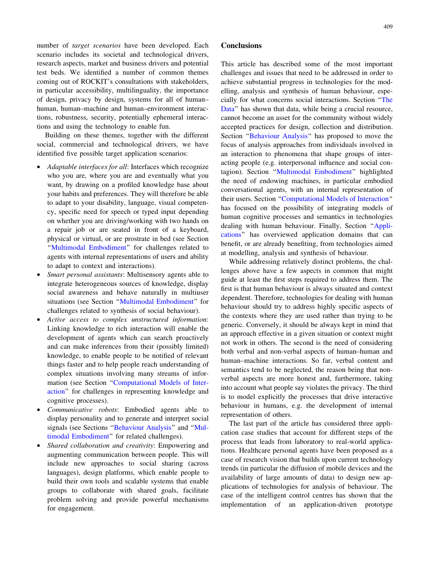number of target scenarios have been developed. Each scenario includes its societal and technological drivers, research aspects, market and business drivers and potential test beds. We identified a number of common themes coming out of ROCKIT's consultations with stakeholders, in particular accessibility, multilinguality, the importance of design, privacy by design, systems for all of human– human, human–machine and human–environment interactions, robustness, security, potentially ephemeral interactions and using the technology to enable fun.

Building on these themes, together with the different social, commercial and technological drivers, we have identified five possible target application scenarios:

- Adaptable interfaces for all: Interfaces which recognize who you are, where you are and eventually what you want, by drawing on a profiled knowledge base about your habits and preferences. They will therefore be able to adapt to your disability, language, visual competency, specific need for speech or typed input depending on whether you are driving/working with two hands on a repair job or are seated in front of a keyboard, physical or virtual, or are prostrate in bed (see Section "Multimodal [Embodiment](#page-5-0)" for challenges related to agents with internal representations of users and ability to adapt to context and interactions).
- Smart personal assistants: Multisensory agents able to integrate heterogeneous sources of knowledge, display social awareness and behave naturally in multiuser situations (see Section ''Multimodal [Embodiment'](#page-5-0)' for challenges related to synthesis of social behaviour).
- Active access to complex unstructured information: Linking knowledge to rich interaction will enable the development of agents which can search proactively and can make inferences from their (possibly limited) knowledge, to enable people to be notified of relevant things faster and to help people reach understanding of complex situations involving many streams of information (see Section '['Computational](#page-7-0) Models of Inter[action](#page-7-0)'' for challenges in representing knowledge and cognitive processes).
- Communicative robots: Embodied agents able to display personality and to generate and interpret social signals (see Sections ''[Behaviour](#page-3-0) Analysis'' and '['Mul](#page-5-0)timodal [Embodiment](#page-5-0)'' for related challenges).
- Shared collaboration and creativity: Empowering and augmenting communication between people. This will include new approaches to social sharing (across languages), design platforms, which enable people to build their own tools and scalable systems that enable groups to collaborate with shared goals, facilitate problem solving and provide powerful mechanisms for engagement.

# **Conclusions**

This article has described some of the most important challenges and issues that need to be addressed in order to achieve substantial progress in technologies for the modelling, analysis and synthesis of human behaviour, especially for what concerns social interactions. Section ''[The](#page-1-0) [Data](#page-1-0)" has shown that data, while being a crucial resource, cannot become an asset for the community without widely accepted practices for design, collection and distribution. Section ''[Behaviour](#page-3-0) Analysis'' has proposed to move the focus of analysis approaches from individuals involved in an interaction to phenomena that shape groups of interacting people (e.g. interpersonal influence and social contagion). Section ''Multimodal [Embodiment'](#page-5-0)' highlighted the need of endowing machines, in particular embodied conversational agents, with an internal representation of their users. Section '['Computational](#page-7-0) Models of Interaction'' has focused on the possibility of integrating models of human cognitive processes and semantics in technologies dealing with human behaviour. Finally, Section '['Appli](#page-9-0)[cations'](#page-9-0)' has overviewed application domains that can benefit, or are already benefiting, from technologies aimed at modelling, analysis and synthesis of behaviour.

While addressing relatively distinct problems, the challenges above have a few aspects in common that might guide at least the first steps required to address them. The first is that human behaviour is always situated and context dependent. Therefore, technologies for dealing with human behaviour should try to address highly specific aspects of the contexts where they are used rather than trying to be generic. Conversely, it should be always kept in mind that an approach effective in a given situation or context might not work in others. The second is the need of considering both verbal and non-verbal aspects of human–human and human–machine interactions. So far, verbal content and semantics tend to be neglected, the reason being that nonverbal aspects are more honest and, furthermore, taking into account what people say violates the privacy. The third is to model explicitly the processes that drive interactive behaviour in humans, e.g. the development of internal representation of others.

The last part of the article has considered three application case studies that account for different steps of the process that leads from laboratory to real-world applications. Healthcare personal agents have been proposed as a case of research vision that builds upon current technology trends (in particular the diffusion of mobile devices and the availability of large amounts of data) to design new applications of technologies for analysis of behaviour. The case of the intelligent control centres has shown that the implementation of an application-driven prototype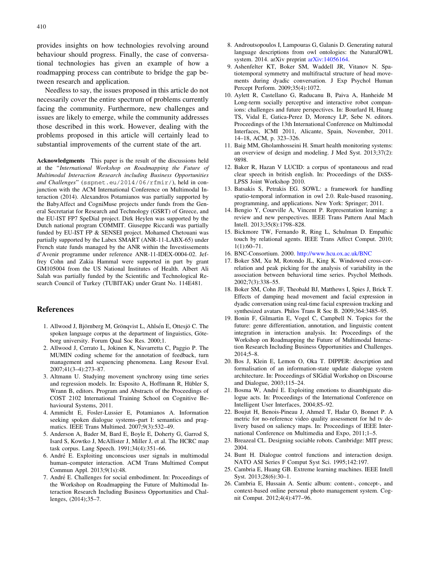<span id="page-13-0"></span>provides insights on how technologies revolving around behaviour should progress. Finally, the case of conversational technologies has given an example of how a roadmapping process can contribute to bridge the gap between research and application.

Needless to say, the issues proposed in this article do not necessarily cover the entire spectrum of problems currently facing the community. Furthermore, new challenges and issues are likely to emerge, while the community addresses those described in this work. However, dealing with the problems proposed in this article will certainly lead to substantial improvements of the current state of the art.

Acknowledgments This paper is the result of the discussions held at the ''International Workshop on Roadmapping the Future of Multimodal Interaction Research including Business Opportunities and Challenges'' (sspnet.eu/2014/06/rfmir/), held in conjunction with the ACM International Conference on Multimodal Interaction (2014). Alexandros Potamianos was partially supported by the BabyAffect and CogniMuse projects under funds from the General Secretariat for Research and Technology (GSRT) of Greece, and the EU-IST FP7 SpeDial project. Dirk Heylen was supported by the Dutch national program COMMIT. Giuseppe Riccardi was partially funded by EU-IST FP & SENSEI project. Mohamed Chetouani was partially supported by the Labex SMART (ANR-11-LABX-65) under French state funds managed by the ANR within the Investissements d'Avenir programme under reference ANR-11-IDEX-0004-02. Jeffrey Cohn and Zakia Hammal were supported in part by grant GM105004 from the US National Institutes of Health. Albert Ali Salah was partially funded by the Scientific and Technological Research Council of Turkey (TUBITAK) under Grant No. 114E481.

#### References

- 1. Allwood J, Björnberg M, Grönqvist L, Ahlsén E, Ottesjö C. The spoken language corpus at the department of linguistics, Göteborg university. Forum Qual Soc Res. 2000;1.
- 2. Allwood J, Cerrato L, Jokinen K, Navarretta C, Paggio P. The MUMIN coding scheme for the annotation of feedback, turn management and sequencing phenomena. Lang Resour Eval. 2007;41(3–4):273–87.
- 3. Altmann U. Studying movement synchrony using time series and regression models. In: Esposito A, Hoffmann R, Hübler S, Wrann B, editors. Program and Abstracts of the Proceedings of COST 2102 International Training School on Cognitive Behavioural Systems, 2011.
- 4. Ammicht E, Fosler-Lussier E, Potamianos A. Information seeking spoken dialogue systems–part I: semantics and pragmatics. IEEE Trans Multimed. 2007;9(3):532–49.
- 5. Anderson A, Bader M, Bard E, Boyle E, Doherty G, Garrod S, Isard S, Kowtko J, McAllister J, Miller J, et al. The HCRC map task corpus. Lang Speech. 1991;34(4):351–66.
- 6. Andre´ E. Exploiting unconscious user signals in multimodal human–computer interaction. ACM Trans Multimed Comput Commun Appl. 2013;9(1s):48.
- 7. André E. Challenges for social embodiment. In: Proceedings of the Workshop on Roadmapping the Future of Multimodal Interaction Research Including Business Opportunities and Challenges, (2014);35–7.
- 8. Androutsopoulos I, Lampouras G, Galanis D. Generating natural language descriptions from owl ontologies: the NaturalOWL system. 2014. arXiv preprint [arXiv:14056164](http://arxiv.org/abs/14056164).
- 9. Ashenfelter KT, Boker SM, Waddell JR, Vitanov N. Spatiotemporal symmetry and multifractal structure of head movements during dyadic conversation. J Exp Psychol Human Percept Perform. 2009;35(4):1072.
- 10. Aylett R, Castellano G, Raducanu B, Paiva A, Hanheide M Long-term socially perceptive and interactive robot companions: challenges and future perspectives. In: Bourlard H, Huang TS, Vidal E, Gatica-Perez D, Morency LP, Sebe N. editors. Proceedings of the 13th International Conference on Multimodal Interfaces, ICMI 2011, Alicante, Spain, November, 2011. 14–18, ACM, p. 323–326.
- 11. Baig MM, Gholamhosseini H. Smart health monitoring systems: an overview of design and modeling. J Med Syst. 2013;37(2): 9898.
- 12. Baker R, Hazan V LUCID: a corpus of spontaneous and read clear speech in british english. In: Proceedings of the DiSS-LPSS Joint Workshop 2010.
- 13. Batsakis S, Petrakis EG. SOWL: a framework for handling spatio-temporal information in owl 2.0. Rule-based reasoning, programming, and applications. New York: Springer; 2011.
- 14. Bengio Y, Courville A, Vincent P. Representation learning: a review and new perspectives. IEEE Trans Pattern Anal Mach Intell. 2013;35(8):1798–828.
- 15. Bickmore TW, Fernando R, Ring L, Schulman D. Empathic touch by relational agents. IEEE Trans Affect Comput. 2010; 1(1):60–71.
- 16. BNC-Consortium. 2000. <http://www.hcu.ox.ac.uk/BNC>
- 17. Boker SM, Xu M, Rotondo JL, King K. Windowed cross-correlation and peak picking for the analysis of variability in the association between behavioral time series. Psychol Methods. 2002;7(3):338–55.
- 18. Boker SM, Cohn JF, Theobald BJ, Matthews I, Spies J, Brick T. Effects of damping head movement and facial expression in dyadic conversation using real-time facial expression tracking and synthesized avatars. Philos Trans R Soc B. 2009;364:3485–95.
- 19. Bonin F, Gilmartin E, Vogel C, Campbell N. Topics for the future: genre differentiation, annotation, and linguistic content integration in interaction analysis. In: Proceedings of the Workshop on Roadmapping the Future of Multimodal Interaction Research Including Business Opportunities and Challenges. 2014;5–8.
- 20. Bos J, Klein E, Lemon O, Oka T. DIPPER: description and formalisation of an information-state update dialogue system architecture. In: Proceedings of SIGdial Workshop on Discourse and Dialogue, 2003;115–24.
- 21. Bosma W, André E. Exploiting emotions to disambiguate dialogue acts. In: Proceedings of the International Conference on Intelligent User Interfaces, 2004;85–92.
- 22. Boujut H, Benois-Pineau J, Ahmed T, Hadar O, Bonnet P. A metric for no-reference video quality assessment for hd tv delivery based on saliency maps. In: Proceedings of IEEE International Conference on Multimedia and Expo, 2011;1–5.
- 23. Breazeal CL. Designing sociable robots. Cambridge: MIT press; 2004.
- 24. Bunt H. Dialogue control functions and interaction design. NATO ASI Series F Comput Syst Sci. 1995;142:197.
- 25. Cambria E, Huang GB. Extreme learning machines. IEEE Intell Syst. 2013;28(6):30–1.
- 26. Cambria E, Hussain A. Sentic album: content-, concept-, and context-based online personal photo management system. Cognit Comput. 2012;4(4):477–96.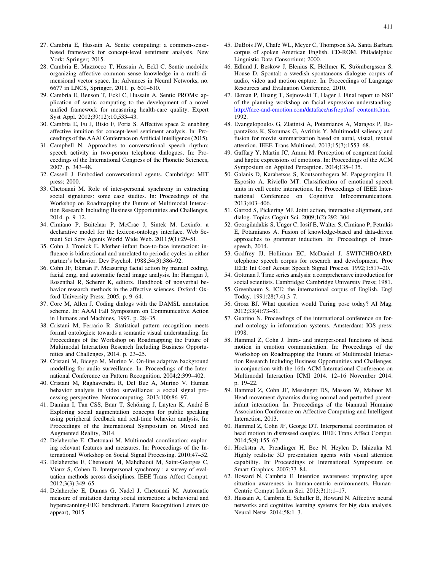- <span id="page-14-0"></span>27. Cambria E, Hussain A. Sentic computing: a common-sensebased framework for concept-level sentiment analysis. New York: Springer; 2015.
- 28. Cambria E, Mazzocco T, Hussain A, Eckl C. Sentic medoids: organizing affective common sense knowledge in a multi-dimensional vector space. In: Advances in Neural Networks, no. 6677 in LNCS, Springer, 2011. p. 601–610.
- 29. Cambria E, Benson T, Eckl C, Hussain A. Sentic PROMs: application of sentic computing to the development of a novel unified framework for measuring health-care quality. Expert Syst Appl. 2012;39(12):10,533–43.
- 30. Cambria E, Fu J, Bisio F, Poria S. Affective space 2: enabling affective intuition for concept-level sentiment analysis. In: Proceedings of the AAAI Conference on Artificial Intelligence (2015).
- 31. Campbell N. Approaches to conversational speech rhythm: speech activity in two-person telephone dialogues. In: Proceedings of the International Congress of the Phonetic Sciences, 2007. p. 343–48.
- 32. Cassell J. Embodied conversational agents. Cambridge: MIT press; 2000.
- 33. Chetouani M. Role of inter-personal synchrony in extracting social signatures: some case studies. In: Proceedings of the Workshop on Roadmapping the Future of Multimodal Interaction Research Including Business Opportunities and Challenges, 2014. p. 9–12.
- 34. Cimiano P, Buitelaar P, McCrae J, Sintek M. Lexinfo: a declarative model for the lexicon-ontology interface. Web Semant Sci Serv Agents World Wide Web. 2011;9(1):29–51.
- 35. Cohn J, Tronick E. Mother–infant face-to-face interaction: influence is bidirectional and unrelated to periodic cycles in either partner's behavior. Dev Psychol. 1988;34(3):386–92.
- 36. Cohn JF, Ekman P. Measuring facial action by manual coding, facial emg, and automatic facial image analysis. In: Harrigan J, Rosenthal R, Scherer K, editors. Handbook of nonverbal behavior research methods in the affective sciences. Oxford: Oxford University Press; 2005. p. 9–64.
- 37. Core M, Allen J. Coding dialogs with the DAMSL annotation scheme. In: AAAI Fall Symposium on Communicative Action in Humans and Machines, 1997. p. 28–35.
- 38. Cristani M, Ferrario R. Statistical pattern recognition meets formal ontologies: towards a semantic visual understanding. In: Proceedings of the Workshop on Roadmapping the Future of Multimodal Interaction Research Including Business Opportunities and Challenges, 2014. p. 23–25.
- 39. Cristani M, Bicego M, Murino V. On-line adaptive background modelling for audio surveillance. In: Proceedings of the International Conference on Pattern Recognition. 2004;2:399–402.
- 40. Cristani M, Raghavendra R, Del Bue A, Murino V. Human behavior analysis in video surveillance: a social signal processing perspective. Neurocomputing. 2013;100:86–97.
- 41. Damian I, Tan CSS, Baur T, Schöning J, Luyten K, André E Exploring social augmentation concepts for public speaking using peripheral feedback and real-time behavior analysis. In: Proceedings of the International Symposium on Mixed and Augmented Reality, 2014.
- 42. Delaherche E, Chetouani M. Multimodal coordination: exploring relevant features and measures. In: Proceedings of the International Workshop on Social Signal Processing. 2010;47–52.
- 43. Delaherche E, Chetouani M, Mahdhaoui M, Saint-Georges C, Viaux S, Cohen D. Interpersonal synchrony : a survey of evaluation methods across disciplines. IEEE Trans Affect Comput. 2012;3(3):349–65.
- 44. Delaherche E, Dumas G, Nadel J, Chetouani M. Automatic measure of imitation during social interaction: a behavioral and hyperscanning-EEG benchmark. Pattern Recognition Letters (to appear), 2015.
- 45. DuBois JW, Chafe WL, Meyer C, Thompson SA. Santa Barbara corpus of spoken American English. CD-ROM. Philadelphia: Linguistic Data Consortium; 2000.
- 46. Edlund J, Beskow J, Elenius K, Hellmer K, Strömbergsson S, House D. Spontal: a swedish spontaneous dialogue corpus of audio, video and motion capture. In: Proceedings of Language Resources and Evaluation Conference, 2010.
- 47. Ekman P, Huang T, Sejnowski T, Hager J. Final report to NSF of the planning workshop on facial expression understanding. [http://face-and-emotion.com/dataface/nsfrept/nsf\\_contents.htm](http://face-and-emotion.com/dataface/nsfrept/nsf_contents.htm). 1992.
- 48. Evangelopoulos G, Zlatintsi A, Potamianos A, Maragos P, Rapantzikos K, Skoumas G, Avrithis Y. Multimodal saliency and fusion for movie summarization based on aural, visual, textual attention. IEEE Trans Multimed. 2013;15(7):1553–68.
- 49. Gaffary Y, Martin JC, Ammi M. Perception of congruent facial and haptic expressions of emotions. In: Proceedings of the ACM Symposium on Applied Perception. 2014;135–135.
- 50. Galanis D, Karabetsos S, Koutsombogera M, Papageorgiou H, Esposito A, Riviello MT. Classification of emotional speech units in call centre interactions. In: Proceedings of IEEE International Conference on Cognitive Infocommunications. 2013;403–406.
- 51. Garrod S, Pickering MJ. Joint action, interactive alignment, and dialog. Topics Cognit Sci. 2009;1(2):292–304.
- 52. Georgiladakis S, Unger C, Iosif E, Walter S, Cimiano P, Petrakis E, Potamianos A. Fusion of knowledge-based and data-driven approaches to grammar induction. In: Proceedings of Interspeech, 2014.
- 53. Godfrey JJ, Holliman EC, McDaniel J. SWITCHBOARD: telephone speech corpus for research and development. Proc IEEE Int Conf Acoust Speech Signal Process. 1992;1:517–20.
- 54. Gottman J. Time series analysis: a comprehensive introduction for social scientists. Cambridge: Cambridge University Press; 1981.
- 55. Greenbaum S. ICE: the international corpus of English. Engl Today. 1991;28(7.4):3–7.
- 56. Grosz BJ. What question would Turing pose today? AI Mag. 2012;33(4):73–81.
- 57. Guarino N. Proceedings of the international conference on formal ontology in information systems. Amsterdam: IOS press; 1998.
- 58. Hammal Z, Cohn J. Intra- and interpersonal functions of head motion in emotion communication. In: Proceedings of the Workshop on Roadmapping the Future of Multimodal Interaction Research Including Business Opportunities and Challenges, in conjunction with the 16th ACM International Conference on Multimodal Interaction ICMI 2014. 12–16 November 2014. p. 19–22.
- 59. Hammal Z, Cohn JF, Messinger DS, Masson W, Mahoor M. Head movement dynamics during normal and perturbed parentinfant interaction. In: Proceedings of the biannual Humaine Association Conference on Affective Computing and Intelligent Interaction, 2013.
- 60. Hammal Z, Cohn JF, George DT. Interpersonal coordination of head motion in distressed couples. IEEE Trans Affect Comput. 2014;5(9):155–67.
- 61. Hoekstra A, Prendinger H, Bee N, Heylen D, Ishizuka M. Highly realistic 3D presentation agents with visual attention capability. In: Proceedings of International Symposium on Smart Graphics. 2007;73–84.
- 62. Howard N, Cambria E. Intention awareness: improving upon situation awareness in human-centric environments. Human-Centric Comput Inform Sci. 2013;3(1):1–17.
- 63. Hussain A, Cambria E, Schuller B, Howard N. Affective neural networks and cognitive learning systems for big data analysis. Neural Netw. 2014;58:1–3.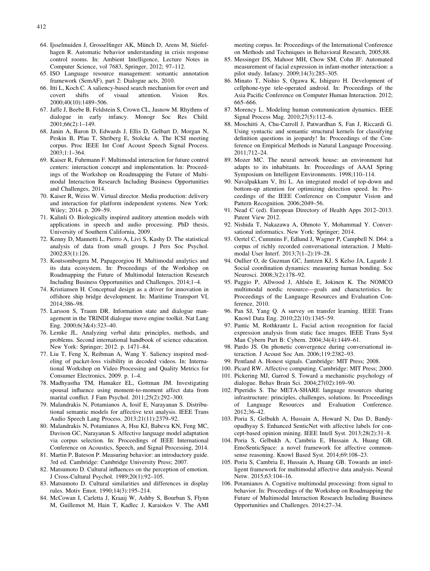- <span id="page-15-0"></span>64. Ijsselmuiden J, Grosselfinger AK, Münch D, Arens M, Stiefelhagen R. Automatic behavior understanding in crisis response control rooms. In: Ambient Intelligence, Lecture Notes in Computer Science, vol 7683, Springer, 2012; 97–112.
- 65. ISO Language resource management: semantic annotation framework (SemAF), part 2: Dialogue acts, 2010.
- 66. Itti L, Koch C. A saliency-based search mechanism for overt and covert shifts of visual attention. Vision Res. 2000;40(10):1489–506.
- 67. Jaffe J, Beebe B, Feldstein S, Crown CL, Jasnow M. Rhythms of dialogue in early infancy. Monogr Soc Res Child. 2001;66(2):1–149.
- 68. Janin A, Baron D, Edwards J, Ellis D, Gelbart D, Morgan N, Peskin B, Pfau T, Shriberg E, Stolcke A. The ICSI meeting corpus. Proc IEEE Int Conf Acoust Speech Signal Process.  $2003 \cdot 1 \cdot 1 - 364$
- 69. Kaiser R, Fuhrmann F. Multimodal interaction for future control centers: interaction concept and implementation. In: Proceedings of the Workshop on Roadmapping the Future of Multimodal Interaction Research Including Business Opportunities and Challenges, 2014.
- 70. Kaiser R, Weiss W. Virtual director. Media production: delivery and interaction for platform independent systems. New York: Wiley; 2014. p. 209–59.
- 71. Kalinli O. Biologically inspired auditory attention models with applications in speech and audio processing. PhD thesis, University of Southern California, 2009.
- 72. Kenny D, Mannetti L, Pierro A, Livi S, Kashy D. The statistical analysis of data from small groups. J Pers Soc Psychol. 2002;83(1):126.
- 73. Koutsombogera M, Papageorgiou H. Multimodal analytics and its data ecosystem. In: Proceedings of the Workshop on Roadmapping the Future of Multimodal Interaction Research Including Business Opportunities and Challenges. 2014;1–4.
- 74. Kristiansen H. Conceptual design as a driver for innovation in offshore ship bridge development. In: Maritime Transport VI, 2014;386–98.
- 75. Larsson S, Traum DR. Information state and dialogue management in the TRINDI dialogue move engine toolkit. Nat Lang Eng. 2000;6(3&4):323–40.
- 76. Lemke JL. Analyzing verbal data: principles, methods, and problems. Second international handbook of science education. New York: Springer; 2012. p. 1471–84.
- 77. Liu T, Feng X, Reibman A, Wang Y. Saliency inspired modeling of packet-loss visibility in decoded videos. In: International Workshop on Video Processing and Quality Metrics for Consumer Electronics, 2009. p. 1–4.
- 78. Madhyastha TM, Hamaker EL, Gottman JM. Investigating spousal influence using moment-to-moment affect data from marital conflict. J Fam Psychol. 2011;25(2):292–300.
- 79. Malandrakis N, Potamianos A, Iosif E, Narayanan S. Distributional semantic models for affective text analysis. IEEE Trans Audio Speech Lang Process. 2013;21(11):2379–92.
- 80. Malandrakis N, Potamianos A, Hsu KJ, Babeva KN, Feng MC, Davison GC, Narayanan S. Affective language model adaptation via corpus selection. In: Proceedings of IEEE International Conference on Acoustics, Speech, and Signal Processing, 2014.
- 81. Martin P, Bateson P. Measuring behavior: an introductory guide. 3rd ed. Cambridge: Cambridge University Press; 2007.
- 82. Matsumoto D. Cultural influences on the perception of emotion. J Cross-Cultural Psychol. 1989;20(1):92–105.
- 83. Matsumoto D. Cultural similarities and differences in display rules. Motiv Emot. 1990;14(3):195–214.
- 84. McCowan I, Carletta J, Kraaij W, Ashby S, Bourban S, Flynn M, Guillemot M, Hain T, Kadlec J, Karaiskos V. The AMI

meeting corpus. In: Proceedings of the International Conference on Methods and Techniques in Behavioral Research, 2005;88.

- 85. Messinger DS, Mahoor MH, Chow SM, Cohn JF. Automated measurement of facial expression in infant-mother interaction: a pilot study. Infancy. 2009;14(3):285–305.
- 86. Minato T, Nishio S, Ogawa K, Ishiguro H. Development of cellphone-type tele-operated android. In: Proceedings of the Asia Pacific Conference on Computer Human Interaction. 2012; 665–666.
- 87. Morency L. Modeling human communication dynamics. IEEE Signal Process Mag. 2010;27(5):112–6.
- 88. Moschitti A, Chu-Carroll J, Patwardhan S, Fan J, Riccardi G. Using syntactic and semantic structural kernels for classifying definition questions in jeopardy! In: Proceedings of the Conference on Empirical Methods in Natural Language Processing. 2011;712–24.
- 89. Mozer MC. The neural network house: an environment hat adapts to its inhabitants. In: Proceedings of AAAI Spring Symposium on Intelligent Environments. 1998;110–114.
- 90. Navalpakkam V, Itti L. An integrated model of top-down and bottom-up attention for optimizing detection speed. In: Proceedings of the IEEE Conference on Computer Vision and Pattern Recognition. 2006;2049–56.
- 91. Nead C (ed). European Directory of Health Apps 2012–2013. Patent View 2012.
- 92. Nishida T, Nakazawa A, Ohmoto Y, Mohammad Y. Conversational informatics. New York: Springer; 2014.
- 93. Oertel C, Cummins F, Edlund J, Wagner P, Campbell N. D64: a corpus of richly recorded conversational interaction. J Multimodal User Interf. 2013;7(1–2):19–28.
- 94. Oullier O, de Guzman GC, Jantzen KJ, S Kelso JA, Lagarde J. Social coordination dynamics: measuring human bonding. Soc Neurosci. 2008;3(2):178–92.
- 95. Paggio P, Allwood J, Ahlsén E, Jokinen K. The NOMCO multimodal nordic resource—goals and characteristics. In: Proceedings of the Language Resources and Evaluation Conference, 2010.
- 96. Pan SJ, Yang Q. A survey on transfer learning. IEEE Trans Knowl Data Eng. 2010;22(10):1345–59.
- 97. Pantic M, Rothkrantz L. Facial action recognition for facial expression analysis from static face images. IEEE Trans Syst Man Cybern Part B: Cybern. 2004;34(4):1449–61.
- 98. Pardo JS. On phonetic convergence during conversational interaction. J Acoust Soc Am. 2006;119:2382–93.
- 99. Pentland A. Honest signals. Cambridge: MIT Press; 2008.
- 100. Picard RW. Affective computing. Cambridge: MIT Press; 2000.
- 101. Pickering MJ, Garrod S. Toward a mechanistic psychology of dialogue. Behav Brain Sci. 2004;27(02):169–90.
- 102. Piperidis S. The META-SHARE language resources sharing infrastructure: principles, challenges, solutions. In: Proceedings of Language Resources and Evaluation Conference. 2012;36–42.
- 103. Poria S, Gelbukh A, Hussain A, Howard N, Das D, Bandyopadhyay S. Enhanced SenticNet with affective labels for concept-based opinion mining. IEEE Intell Syst. 2013;28(2):31–8.
- 104. Poria S, Gelbukh A, Cambria E, Hussain A, Huang GB. EmoSenticSpace: a novel framework for affective commonsense reasoning. Knowl Based Syst. 2014;69:108–23.
- 105. Poria S, Cambria E, Hussain A, Huang GB. Towards an intelligent framework for multimodal affective data analysis. Neural Netw. 2015;63:104–16.
- 106. Potamianos A. Cognitive multimodal processing: from signal to behavior. In: Proceedings of the Workshop on Roadmapping the Future of Multimodal Interaction Research Including Business Opportunities and Challenges. 2014;27–34.